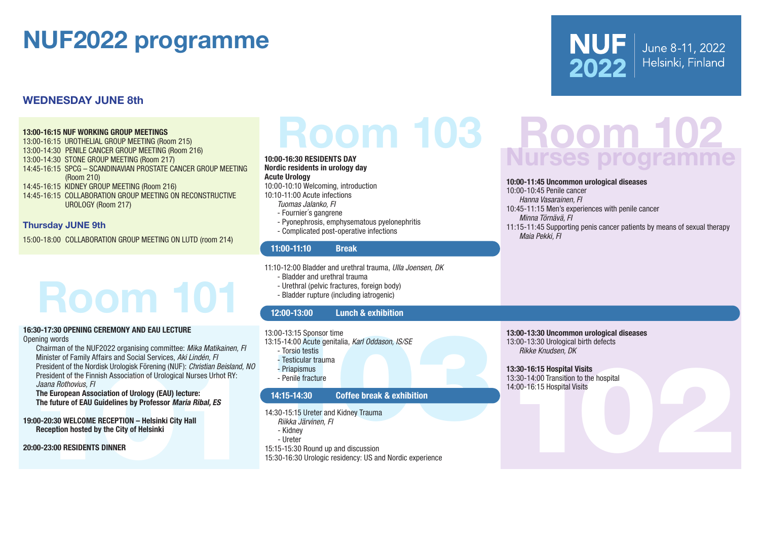# NUF2022 programme

#### WEDNESDAY JUNE 8th

#### 13:00-16:15 NUF WORKING GROUP MEETINGS

13:00-16:15 UROTHELIAL GROUP MEETING (Room 215) 13:00-14:30 PENILE CANCER GROUP MEETING (Room 216) 13:00-14:30 STONE GROUP MEETING (Room 217) 14:45-16:15 SPCG – SCANDINAVIAN PROSTATE CANCER GROUP MEETING (Room 210) 14:45-16:15 KIDNEY GROUP MEETING (Room 216) 14:45-16:15 COLLABORATION GROUP MEETING ON RECONSTRUCTIVE UROLOGY (Room 217)

#### Thursday JUNE 9th

15:00-18:00 COLLABORATION GROUP MEETING ON LUTD (room 214)

# Room 101

#### 16:30-17:30 OPENING CEREMONY AND EAU LECTURE Opening words

C-01720 OPENING CEREMONY AND EAU LECTURE<br>
Chairman of the NUF20122 organising committee. Mike Matikaline, P<br>
Chairman of the Nurse of Family Affairs and Science A*Mi Linden, F*<br>
Chairman of the Nurse of Chairman of the Nu Chairman of the NUF2022 organising committee: *Mika Matikainen, FI* Minister of Family Affairs and Social Services, *Aki Lindén, FI* President of the Nordisk Urologisk Förening (NUF): *Christian Beisland, NO* President of the Finnish Association of Urological Nurses Urhot RY: *Jaana Rothovius, FI*

The European Association of Urology (EAU) lecture: The future of EAU Guidelines by Professor *Maria Ribal, ES*

19:00-20:30 WELCOME RECEPTION – Helsinki City Hall Reception hosted by the City of Helsinki

20:00-23:00 RESIDENTS DINNER

#### 10:00-16:30 RESIDENTS DAY Nordic residents in urology day Acute Urology

10:00-10:10 Welcoming, introduction

10:10-11:00 Acute infections

- *Tuomas Jalanko, FI*
- Fournier´s gangrene
- Pyonephrosis, emphysematous pyelonephritis
- Complicated post-operative infections

#### 11:00-11:10 Break

- 11:10-12:00 Bladder and urethral trauma, *Ulla Joensen, DK*
	- Bladder and urethral trauma
	- Urethral (pelvic fractures, foreign body)
	- Bladder rupture (including iatrogenic)

#### 12:00-13:00 Lunch & exhibition

13:00-13:15 Sponsor time

- 13:15-14:00 Acute genitalia, *Karl Oddason, IS/SE*
	- Torsio testis
	- Testicular trauma
	- Priapismus
	- Penile fracture

#### 14:15-14:30 Coffee break & exhibition

14:30-15:15 Ureter and Kidney Trauma

- *Riikka Järvinen, FI*
- Kidney
- Ureter
- 15:15-15:30 Round up and discussion

15:30-16:30 Urologic residency: US and Nordic experience

# Room 103 Room 102<br>0-16:30 RESIDENTS DAY<br>dic residents in urology day

June 8-11, 2022

Helsinki, Finland

**NUF** 

2022

#### 10:00-11:45 Uncommon urological diseases

10:00-10:45 Penile cancer *Hanna Vasarainen, FI* 10:45-11:15 Men's experiences with penile cancer *Minna Törnävä, FI* 11:15-11:45 Supporting penis cancer patients by means of sexual therapy *Maia Pekki, FI*

#### 13:00-13:30 Uncommon urological diseases 13:00-13:30 Urological birth defects *Rikke Knudsen, DK*

13:30-16:15 Hospital Visits 13:30-14:00 Transition to the hospital 14:00-16:15 Hospital Visits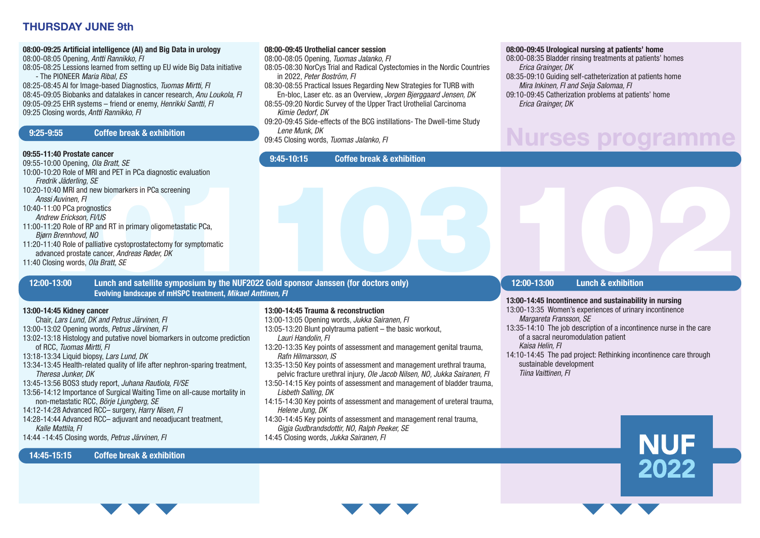#### THURSDAY JUNE 9th

#### 08:00-09:25 Artificial intelligence (AI) and Big Data in urology

08:00-08:05 Opening, *Antti Rannikko, FI*

08:05-08:25 Lessions learned from setting up EU wide Big Data initiative - The PIONEER *Maria Ribal, ES*

08:25-08:45 AI for Image-based Diagnostics, *Tuomas Mirtti, FI* 08:45-09:05 Biobanks and datalakes in cancer research, *Anu Loukola, FI* 09:05-09:25 EHR systems – friend or enemy, *Henrikki Santti, FI* 09:25 Closing words, *Antti Rannikko, FI*

#### 9:25-9:55 Coffee break & exhibition

#### 09:55-11:40 Prostate cancer

Fredrik Jäderling, SE<br>
Ansis/Auvinen, Fi<br>
Ansis/Auvinen, Fi<br>
Ansis/Auvinen, Fi<br>
Ansis/Auvinen, Fi<br>
Ansis/Auvinen, Fi<br>
2010-11:20 Role of RP and RT in primary oligometastatic PCa,<br>
2010-11:20 Role of RP and RT in primary ol 09:55-10:00 Opening, *Ola Bratt, SE* 10:00-10:20 Role of MRI and PET in PCa diagnostic evaluation *Fredrik Jäderling, SE* 10:20-10:40 MRI and new biomarkers in PCa screening *Anssi Auvinen, FI* 10:40-11:00 PCa prognostics *Andrew Erickson, FI/US* 11:00-11:20 Role of RP and RT in primary oligometastatic PCa, *Bjørn Brennhovd, NO* 11:20-11:40 Role of palliative cystoprostatectomy for symptomatic advanced prostate cancer, *Andreas Røder, DK* 11:40 Closing words, *Ola Bratt, SE*

#### 12:00-13:00 Lunch and satellite symposium by the NUF2022 Gold sponsor Janssen (for doctors only) Evolving landscape of mHSPC treatment, *Mikael Anttinen, FI*

#### 13:00-14:45 Kidney cancer

- Chair, *Lars Lund, DK and Petrus Järvinen, FI*  13:00-13:02 Opening words*, Petrus Järvinen, FI* 13:02-13:18 Histology and putative novel biomarkers in outcome prediction of RCC, *Tuomas Mirtti, FI* 13:18-13:34 Liquid biopsy, *Lars Lund, DK* 13:34-13:45 Health-related quality of life after nephron-sparing treatment, *Theresa Junker, DK* 13:45-13:56 BOS3 study report, *Juhana Rautiola, FI/SE*
- 13:56-14:12 Importance of Surgical Waiting Time on all-cause mortality in non-metastatic RCC, *Börje Ljungberg, SE*
- 14:12-14:28 Advanced RCC– surgery, *Harry Nisen, FI*
- 14:28-14:44 Advanced RCC– adjuvant and neoadjucant treatment, *Kalle Mattila, FI*
- 14:44 -14:45 Closing words, *Petrus Järvinen, FI*

#### 08:00-09:45 Urothelial cancer session 08:00-08:05 Opening, *Tuomas Jalanko, FI*

- 
- 08:05-08:30 NorCys Trial and Radical Cystectomies in the Nordic Countries in 2022, *Peter Boström, FI*
- 08:30-08:55 Practical Issues Regarding New Strategies for TURB with En-bloc, Laser etc. as an Overview, *Jorgen Bjerggaard Jensen, DK*
- 08:55-09:20 Nordic Survey of the Upper Tract Urothelial Carcinoma *Kimie Oedorf, DK*
- 09:20-09:45 Side-effects of the BCG instillations- The Dwell-time Study *Lene Munk, DK*
- 09:45 Closing words, *Tuomas Jalanko, FI*

9:45-10:15 Coffee break & exhibition

#### 08:00-09:45 Urological nursing at patients' home

- 08:00-08:35 Bladder rinsing treatments at patients' homes *Erica Grainger, DK*
- 08:35-09:10 Guiding self-catheterization at patients home *Mira Inkinen, FI and Seija Salomaa, FI*
- 09:10-09:45 Catherization problems at patients' home *Erica Grainger, DK*

## Nurses programme

#### 12:00-13:00 Lunch & exhibition

#### 13:00-14:45 Incontinence and sustainability in nursing

- 13:00-13:35 Women's experiences of urinary incontinence *Margareta Fransson, SE*
- 13:35-14:10 The job description of a incontinence nurse in the care of a sacral neuromodulation patient
- *Kaisa Helin, FI*
- 14:10-14:45 The pad project: Rethinking incontinence care through sustainable development *Tiina Vaittinen, FI*







13:00-14:45 Trauma & reconstruction

13:00-13:05 Opening words, *Jukka Sairanen, FI*

- 13:05-13:20 Blunt polytrauma patient the basic workout,
	- *Lauri Handolin, FI*
- 13:20-13:35 Key points of assessment and management genital trauma, *Rafn Hilmarsson, IS*
- 13:35-13:50 Key points of assessment and management urethral trauma, pelvic fracture urethral injury, *Ole Jacob Nilsen, NO, Jukka Sairanen, FI*
- 13:50-14:15 Key points of assessment and management of bladder trauma, *Lisbeth Salling, DK*
- 14:15-14:30 Key points of assessment and management of ureteral trauma, *Helene Jung, DK*
- 14:30-14:45 Key points of assessment and management renal trauma, *Gigja Gudbrandsdottir, NO, Ralph Peeker, SE*
- 14:45 Closing words, *Jukka Sairanen, FI*

14:45-15:15 Coffee break & exhibition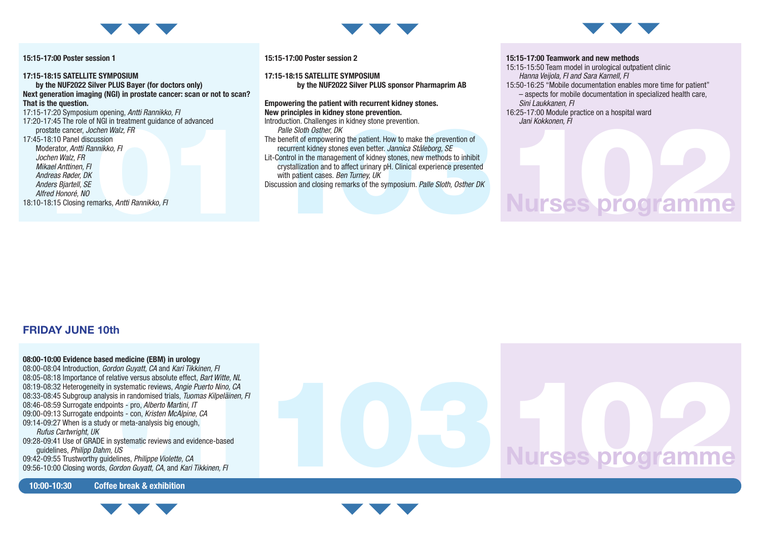

#### 15:15-17:00 Poster session 1

17:20-17:45 The role of NGI in treatment guidance of advanced<br>prostate cancer, Jochen Walz, FR<br>17:45-18:10 Panel discussion<br>Moderator, *Antti Rannikko*, FI<br>Jochen Walz, FR<br>Mikael Anttinen, FI<br>Andreas Røder, DK<br>Anders Bjart 17:15-18:15 SATELLITE SYMPOSIUM by the NUF2022 Silver PLUS Bayer (for doctors only) Next generation imaging (NGI) in prostate cancer: scan or not to scan? That is the question. 17:15-17:20 Symposium opening, *Antti Rannikko, FI* 17:20-17:45 The role of NGI in treatment guidance of advanced prostate cancer, *Jochen Walz, FR* 17:45-18:10 Panel discussion Moderator, *Antti Rannikko, FI Jochen Walz, FR Mikael Anttinen, FI Andreas Røder, DK Anders Bjartell, SE Alfred Honoré, NO* 18:10-18:15 Closing remarks, *Antti Rannikko, FI*



by the NUF2022 Silver PLUS sponsor Pharmaprim AB

Empowering the patient with recurrent kidney stones.

15:15-17:00 Poster session 2

*Palle Sloth Osther, DK*

17:15-18:15 SATELLITE SYMPOSIUM

New principles in kidney stone prevention. Introduction. Challenges in kidney stone prevention.

with patient cases. *Ben Turney, UK*

Introduction. Challenges in kidney stone prevention.<br>
Palle Sloth Osther, DK<br>
The benefit of empowering the patient. How to make the prevention of<br>
recurrent kidney stones even better. Jannica Ståleborg, SE<br>
Lit-Control in

Discussion and closing remarks of the symposium. *Palle Sloth, Osther DK*

The benefit of empowering the patient. How to make the prevention of recurrent kidney stones even better. *Jannica Ståleborg, SE* Lit-Control in the management of kidney stones, new methods to inhibit crystallization and to affect urinary pH. Clinical experience presented



Nurses programme

#### 15:15-17:00 Teamwork and new methods

- 15:15-15:50 Team model in urological outpatient clinic *Hanna Veijola, FI and Sara Karnell, FI*
- 15:50-16:25 "Mobile documentation enables more time for patient" – aspects for mobile documentation in specialized health care, *Sini Laukkanen, FI*

Nurses programme

Nurses programme

Jani Kokkonen, FI<br>Nurses programme 16:25-17:00 Module practice on a hospital ward *Jani Kokkonen, FI*

#### FRIDAY JUNE 10th

00:05-08:18 Importance of relative versus absolute effect, *Bart Witte, NL*<br>08:05-08:18 Importance of relative versus absolute effect, *Bart Witte, NL*<br>08:19-08:32 Heterogeneity in systematic reviews, *Angie Puerto Nino, C* 08:00-10:00 Evidence based medicine (EBM) in urology 08:00-08:04 Introduction, *Gordon Guyatt, CA* and *Kari Tikkinen, FI* 08:05-08:18 Importance of relative versus absolute effect, *Bart Witte, NL* 08:19-08:32 Heterogeneity in systematic reviews, *Angie Puerto Nino, CA* 08:33-08:45 Subgroup analysis in randomised trials, *Tuomas Kilpeläinen, FI* 08:46-08:59 Surrogate endpoints - pro, *Alberto Martini, IT* 09:00-09:13 Surrogate endpoints - con, *Kristen McAlpine, CA* 09:14-09:27 When is a study or meta-analysis big enough, *Rufus Cartwright, UK* 09:28-09:41 Use of GRADE in systematic reviews and evidence-based guidelines, *Philipp Dahm, US* 09:42-09:55 Trustworthy guidelines, *Philippe Violette, CA* 09:56-10:00 Closing words, *Gordon Guyatt, CA*, and *Kari Tikkinen, FI*

10:00-10:30 Coffee break & exhibition





103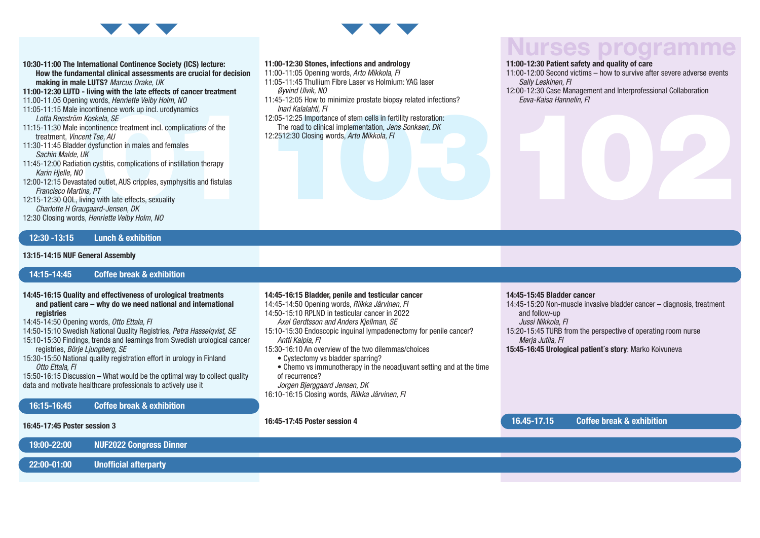

10:30-11:00 The International Continence Society (ICS) lecture: How the fundamental clinical assessments are crucial for decision making in male LUTS? *Marcus Drake, UK*

11:00-12:30 LUTD - living with the late effects of cancer treatment

- 11.00-11.05 Opening words, *Henriette Veiby Holm, NO*
- 11:05-11:15 Male incontinence work up incl. urodynamics *Lotta Renström Koskela, SE*
- 11:15-11:30 Male incontinence treatment incl. complications of the treatment, *Vincent Tse, AU*
- 11:30-11:45 Bladder dysfunction in males and females *Sachin Malde, UK*
- 11:45-12:00 Radiation cystitis, complications of instillation therapy *Karin Hjelle, NO*
- 12:00-12:15 Devastated outlet, AUS cripples, symphysitis and fistulas *Francisco Martins, PT*
- 12:15-12:30 QOL, living with late effects, sexuality *Charlotte H Graugaard-Jensen, DK*
- 12:30 Closing words, *Henriette Veiby Holm, NO*

#### 12:30 -13:15 Lunch & exhibition

#### 13:15-14:15 NUF General Assembly

#### 14:15-14:45 Coffee break & exhibition

- 14:45-16:15 Quality and effectiveness of urological treatments and patient care – why do we need national and international registries
- 14:45-14:50 Opening words, *Otto Ettala, FI*
- 14:50-15:10 Swedish National Quality Registries, *Petra Hasselqvist, SE*
- 15:10-15:30 Findings, trends and learnings from Swedish urological cancer registries, *Börje Ljungberg, SE*
- 15:30-15:50 National quality registration effort in urology in Finland *Otto Ettala, FI*

15:50-16:15 Discussion – What would be the optimal way to collect quality data and motivate healthcare professionals to actively use it

16:15-16:45 Coffee break & exhibition

#### 16:45-17:45 Poster session 3

19:00-22:00 NUF2022 Congress Dinner

#### 22:00-01:00 Unofficial afterparty

#### 11:00-12:30 Stones, infections and andrology

- 11:00-11:05 Opening words, *Arto Mikkola, FI*
- 11:05-11:45 Thullium Fibre Laser vs Holmium: YAG laser *Øyvind Ulvik, NO*
- 11:45-12:05 How to minimize prostate biopsy related infections? *Inari Kalalahti, FI*
- 1:05-11:15 Male incontinence work up incl. urodynamics<br>
Later Aenström Kookela, SE<br>
Later Aenström Kookela, SE<br>
Later Aenström Kookela, SE<br>
tractural through the continent incl. complications of the<br>
tractural implementati 12:05-12:25 Importance of stem cells in fertility restoration: The road to clinical implementation, *Jens Sonksen, DK* 12:2512:30 Closing words, *Arto Mikkola, FI*

### urses programm

#### 11:00-12:30 Patient safety and quality of care

- 11:00-12:00 Second victims how to survive after severe adverse events *Sally Leskinen, FI*
- 12:00-12:30 Case Management and Interprofessional Collaboration *Eeva-Kaisa Hannelin, FI*

#### 14:45-16:15 Bladder, penile and testicular cancer

14:45-14:50 Opening words, *Riikka Järvinen, FI*

- 14:50-15:10 RPLND in testicular cancer in 2022 *Axel Gerdtsson and Anders Kjellman, SE*
- 15:10-15:30 Endoscopic inguinal lympadenectomy for penile cancer? *Antti Kaipia, FI*
- 15:30-16:10 An overview of the two dilemmas/choices
	- Cystectomy vs bladder sparring?
	- Chemo vs immunotherapy in the neoadjuvant setting and at the time of recurrence?
	- *Jorgen Bjerggaard Jensen, DK*
- 16:10-16:15 Closing words, *Riikka Järvinen, FI*

16:45-17:45 Poster session 4

#### 14:45-15:45 Bladder cancer

14:45-15:20 Non-muscle invasive bladder cancer – diagnosis, treatment and follow-up *Jussi Nikkola, FI*

- 15:20-15:45 TURB from the perspective of operating room nurse *Merja Jutila, FI*
- 15:45-16:45 Urological patient´s story: Marko Koivuneva

#### 16.45-17.15 Coffee break & exhibition